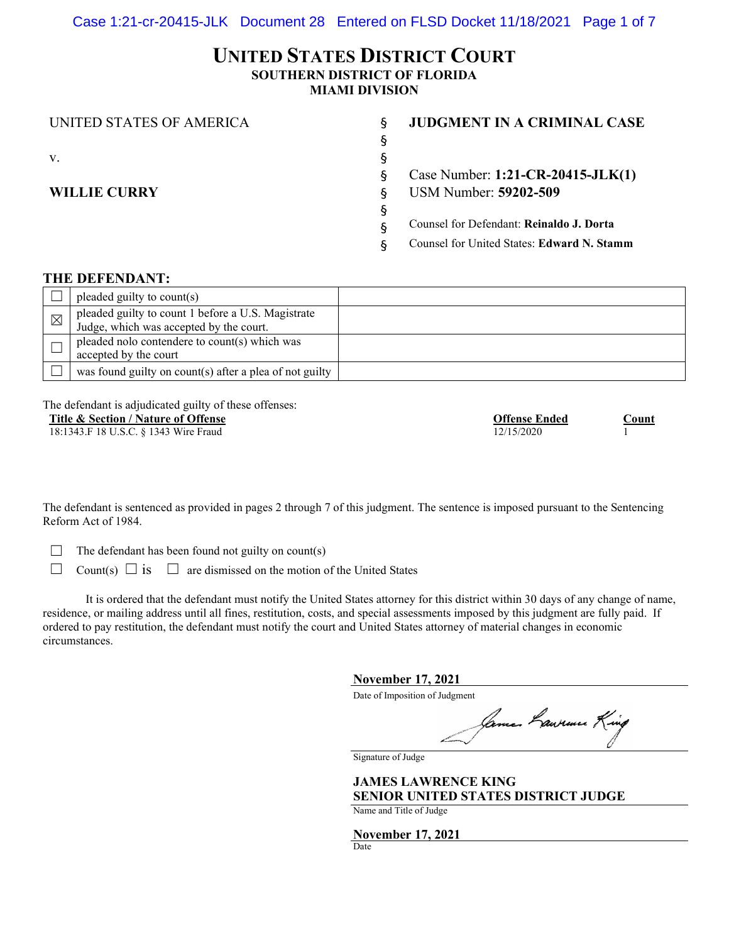# **UNITED STATES DISTRICT COURT SOUTHERN DISTRICT OF FLORIDA MIAMI DIVISION**

| UNITED STATES OF AMERICA | ξ | <b>JUDGMENT IN A CRIMINAL CASE</b>         |
|--------------------------|---|--------------------------------------------|
|                          | ş |                                            |
| V.                       | ş |                                            |
|                          | ş | Case Number: 1:21-CR-20415-JLK(1)          |
| <b>WILLIE CURRY</b>      | ξ | <b>USM Number: 59202-509</b>               |
|                          | ş |                                            |
|                          | ş | Counsel for Defendant: Reinaldo J. Dorta   |
|                          | ξ | Counsel for United States: Edward N. Stamm |
|                          |   |                                            |

### **THE DEFENDANT:**

|             | pleaded guilty to count(s)                                                                    |  |
|-------------|-----------------------------------------------------------------------------------------------|--|
| $\boxtimes$ | pleaded guilty to count 1 before a U.S. Magistrate<br>Judge, which was accepted by the court. |  |
|             | pleaded nolo contendere to count(s) which was<br>accepted by the court                        |  |
|             | was found guilty on count(s) after a plea of not guilty                                       |  |

The defendant is adjudicated guilty of these offenses:

| Title & Section / Nature of Offense   | <b>Offense Ended</b> | .`ount |
|---------------------------------------|----------------------|--------|
| 18:1343.F 18 U.S.C. § 1343 Wire Fraud | 12/15/2020           |        |

The defendant is sentenced as provided in pages 2 through 7 of this judgment. The sentence is imposed pursuant to the Sentencing Reform Act of 1984.

 $\Box$  The defendant has been found not guilty on count(s)

 $\Box$  Count(s)  $\Box$  is  $\Box$  are dismissed on the motion of the United States

It is ordered that the defendant must notify the United States attorney for this district within 30 days of any change of name, residence, or mailing address until all fines, restitution, costs, and special assessments imposed by this judgment are fully paid. If ordered to pay restitution, the defendant must notify the court and United States attorney of material changes in economic circumstances.

**November 17, 2021**

Date of Imposition of Judgment

Jama. Lawruux King

Signature of Judge

**JAMES LAWRENCE KING SENIOR UNITED STATES DISTRICT JUDGE**

Name and Title of Judge

**November 17, 2021**

Date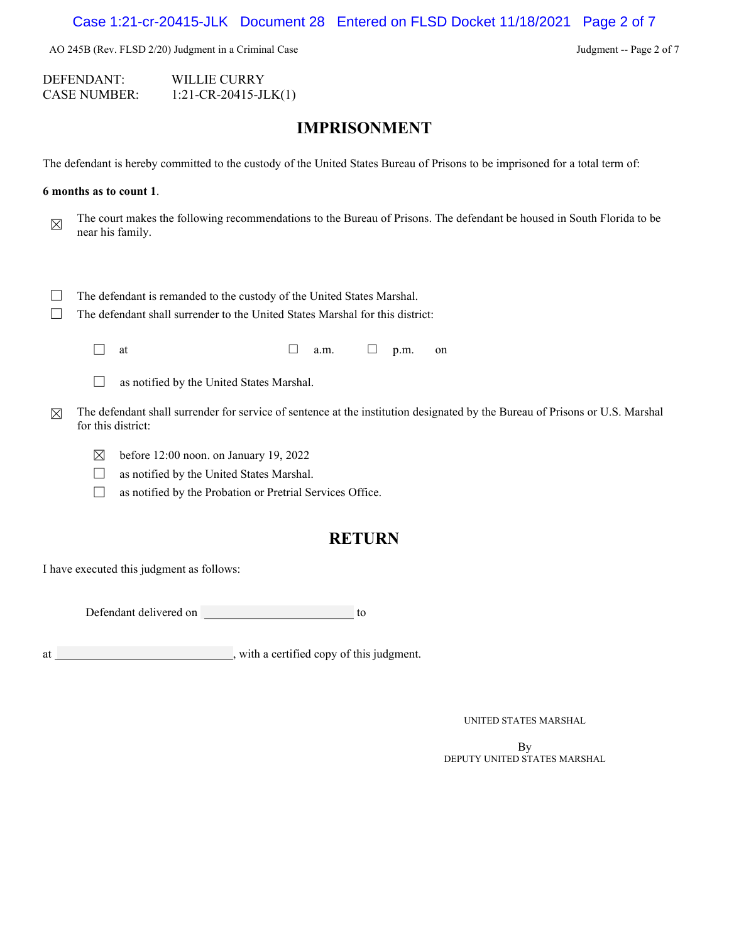Case 1:21-cr-20415-JLK Document 28 Entered on FLSD Docket 11/18/2021 Page 2 of 7

AO 245B (Rev. FLSD 2/20) Judgment in a Criminal Case Judgment -- Page 2 of 7

DEFENDANT: WILLIE CURRY CASE NUMBER: 1:21-CR-20415-JLK(1)

# **IMPRISONMENT**

The defendant is hereby committed to the custody of the United States Bureau of Prisons to be imprisoned for a total term of:

#### **6 months as to count 1**.

The court makes the following recommendations to the Bureau of Prisons. The defendant be housed in South Florida to be near his family.

- □ The defendant is remanded to the custody of the United States Marshal.
- □ The defendant shall surrender to the United States Marshal for this district:

| at | a.m | _ | p.m. | on |
|----|-----|---|------|----|
|    |     |   |      |    |

□ as notified by the United States Marshal.

- $\boxtimes$  The defendant shall surrender for service of sentence at the institution designated by the Bureau of Prisons or U.S. Marshal for this district:
	- $\boxtimes$  before 12:00 noon. on January 19, 2022
	- □ as notified by the United States Marshal.
	- □ as notified by the Probation or Pretrial Services Office.

# **RETURN**

I have executed this judgment as follows:

Defendant delivered on to

at , with a certified copy of this judgment.

UNITED STATES MARSHAL

By<br>DEPUTY UNITED STATES MARSHAL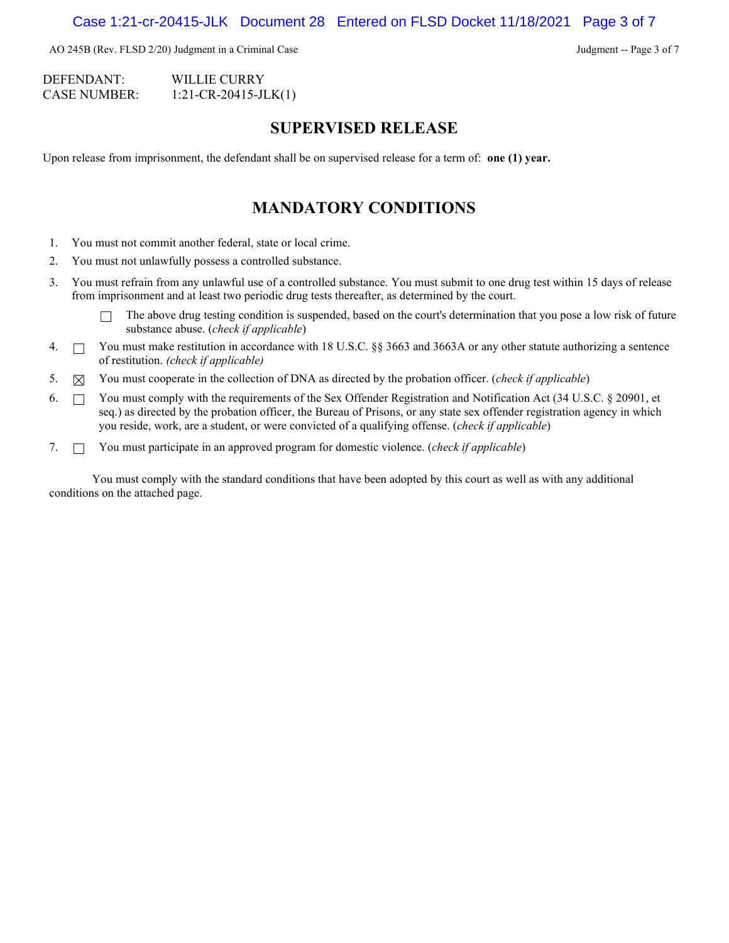AO 245B (Rev. FLSD 2/20) Judgment in a Criminal Case Judgment -- Page 3 of 7

DEFENDANT: WILLIE CURRY CASE NUMBER: 1:21-CR-20415-JLK(1)

### **SUPERVISED RELEASE**

Upon release from imprisonment, the defendant shall be on supervised release for a term of: **one (1) year.**

# **MANDATORY CONDITIONS**

- 1. You must not commit another federal, state or local crime.
- 2. You must not unlawfully possess a controlled substance.
- 3. You must refrain from any unlawful use of a controlled substance. You must submit to one drug test within 15 days of release from imprisonment and at least two periodic drug tests thereafter, as determined by the court.
	- $\Box$  The above drug testing condition is suspended, based on the court's determination that you pose a low risk of future substance abuse. (*check if applicable*)
- 4.  $\Box$  You must make restitution in accordance with 18 U.S.C. §§ 3663 and 3663A or any other statute authorizing a sentence of restitution. *(check if applicable)*
- 5. ☒ You must cooperate in the collection of DNA as directed by the probation officer. (*check if applicable*)
- 6.  $\Box$  You must comply with the requirements of the Sex Offender Registration and Notification Act (34 U.S.C. § 20901, et seq.) as directed by the probation officer, the Bureau of Prisons, or any state sex offender registration agency in which you reside, work, are a student, or were convicted of a qualifying offense. (*check if applicable*)
- 7. ☐ You must participate in an approved program for domestic violence. (*check if applicable*)

You must comply with the standard conditions that have been adopted by this court as well as with any additional conditions on the attached page.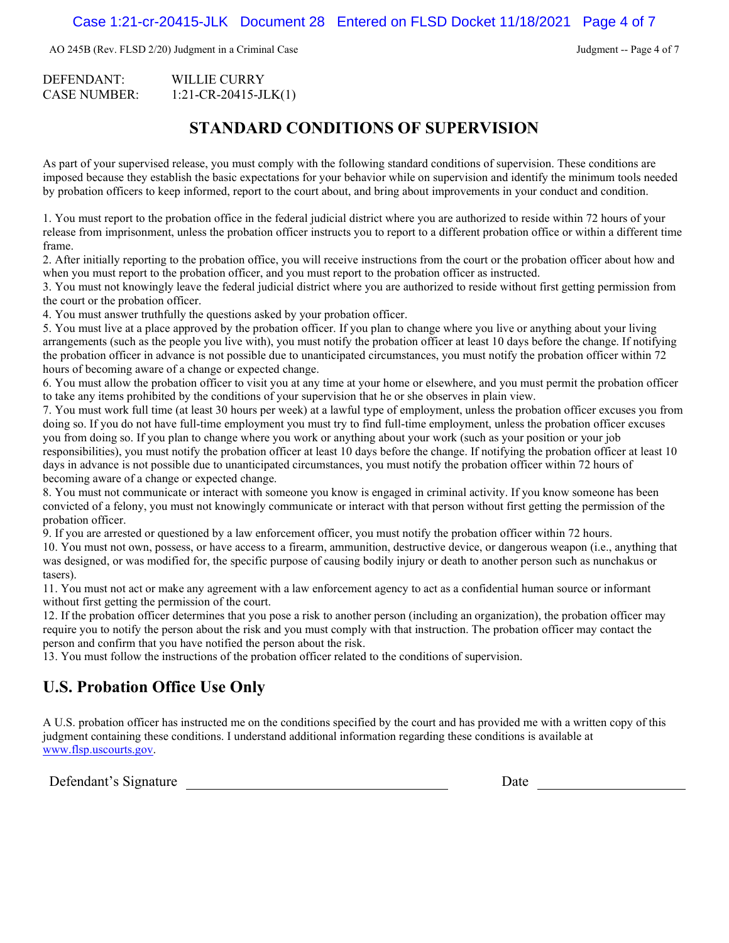AO 245B (Rev. FLSD 2/20) Judgment in a Criminal Case Judgment -- Page 4 of 7

| DEFENDANT:   | WILLIE CURRY               |
|--------------|----------------------------|
| CASE NUMBER: | $1:21$ -CR-20415-JLK $(1)$ |

# **STANDARD CONDITIONS OF SUPERVISION**

As part of your supervised release, you must comply with the following standard conditions of supervision. These conditions are imposed because they establish the basic expectations for your behavior while on supervision and identify the minimum tools needed by probation officers to keep informed, report to the court about, and bring about improvements in your conduct and condition.

1. You must report to the probation office in the federal judicial district where you are authorized to reside within 72 hours of your release from imprisonment, unless the probation officer instructs you to report to a different probation office or within a different time frame.

2. After initially reporting to the probation office, you will receive instructions from the court or the probation officer about how and when you must report to the probation officer, and you must report to the probation officer as instructed.

3. You must not knowingly leave the federal judicial district where you are authorized to reside without first getting permission from the court or the probation officer.

4. You must answer truthfully the questions asked by your probation officer.

5. You must live at a place approved by the probation officer. If you plan to change where you live or anything about your living arrangements (such as the people you live with), you must notify the probation officer at least 10 days before the change. If notifying the probation officer in advance is not possible due to unanticipated circumstances, you must notify the probation officer within 72 hours of becoming aware of a change or expected change.

6. You must allow the probation officer to visit you at any time at your home or elsewhere, and you must permit the probation officer to take any items prohibited by the conditions of your supervision that he or she observes in plain view.

7. You must work full time (at least 30 hours per week) at a lawful type of employment, unless the probation officer excuses you from doing so. If you do not have full-time employment you must try to find full-time employment, unless the probation officer excuses you from doing so. If you plan to change where you work or anything about your work (such as your position or your job responsibilities), you must notify the probation officer at least 10 days before the change. If notifying the probation officer at least 10 days in advance is not possible due to unanticipated circumstances, you must notify the probation officer within 72 hours of becoming aware of a change or expected change.

8. You must not communicate or interact with someone you know is engaged in criminal activity. If you know someone has been convicted of a felony, you must not knowingly communicate or interact with that person without first getting the permission of the probation officer.

9. If you are arrested or questioned by a law enforcement officer, you must notify the probation officer within 72 hours.

10. You must not own, possess, or have access to a firearm, ammunition, destructive device, or dangerous weapon (i.e., anything that was designed, or was modified for, the specific purpose of causing bodily injury or death to another person such as nunchakus or tasers).

11. You must not act or make any agreement with a law enforcement agency to act as a confidential human source or informant without first getting the permission of the court.

12. If the probation officer determines that you pose a risk to another person (including an organization), the probation officer may require you to notify the person about the risk and you must comply with that instruction. The probation officer may contact the person and confirm that you have notified the person about the risk.

13. You must follow the instructions of the probation officer related to the conditions of supervision.

# **U.S. Probation Office Use Only**

A U.S. probation officer has instructed me on the conditions specified by the court and has provided me with a written copy of this judgment containing these conditions. I understand additional information regarding these conditions is available at [www.flsp.uscourts.gov.](http://www.flsp.uscourts.gov/)

Defendant's Signature Date Date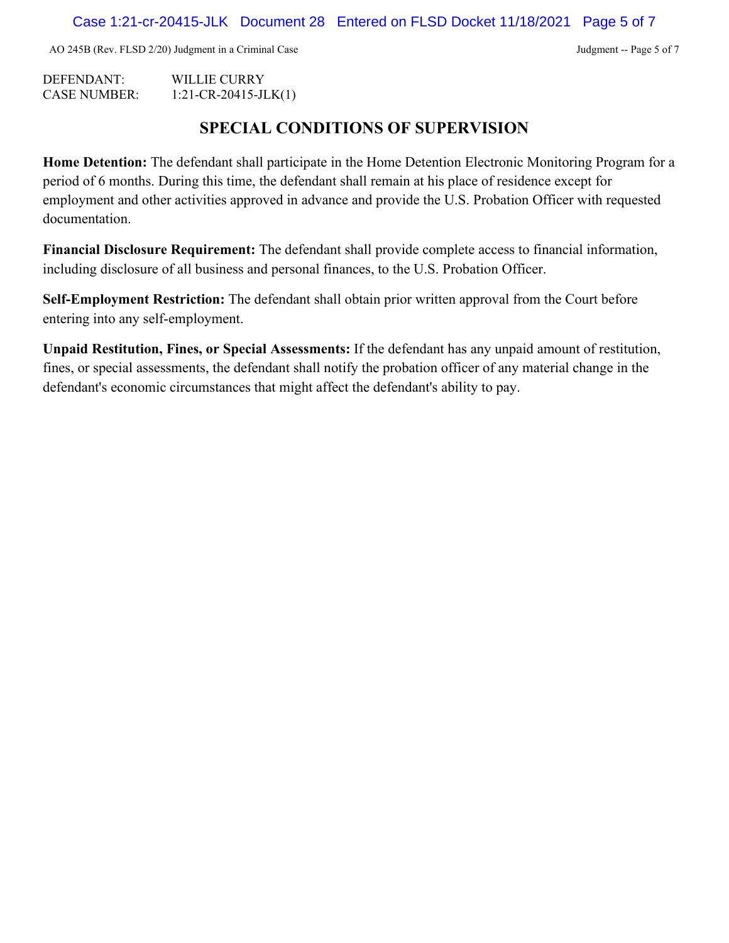AO 245B (Rev. FLSD 2/20) Judgment in a Criminal Case Judgment -- Page 5 of 7

DEFENDANT: WILLIE CURRY CASE NUMBER: 1:21-CR-20415-JLK(1)

# **SPECIAL CONDITIONS OF SUPERVISION**

**Home Detention:** The defendant shall participate in the Home Detention Electronic Monitoring Program for a period of 6 months. During this time, the defendant shall remain at his place of residence except for employment and other activities approved in advance and provide the U.S. Probation Officer with requested documentation.

**Financial Disclosure Requirement:** The defendant shall provide complete access to financial information, including disclosure of all business and personal finances, to the U.S. Probation Officer.

**Self-Employment Restriction:** The defendant shall obtain prior written approval from the Court before entering into any self-employment.

**Unpaid Restitution, Fines, or Special Assessments:** If the defendant has any unpaid amount of restitution, fines, or special assessments, the defendant shall notify the probation officer of any material change in the defendant's economic circumstances that might affect the defendant's ability to pay.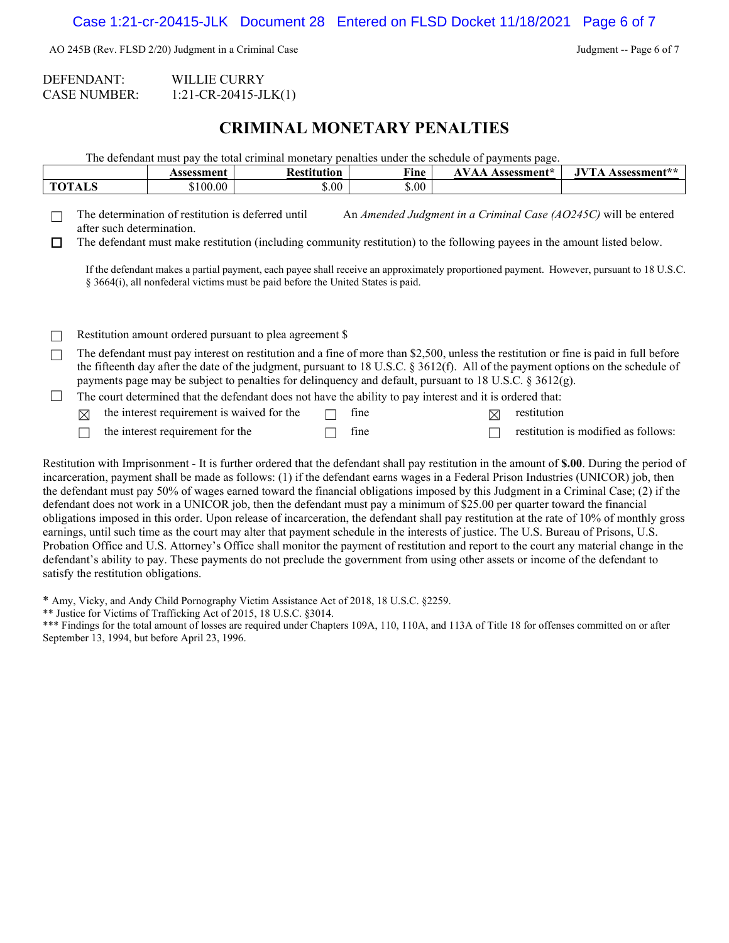AO 245B (Rev. FLSD 2/20) Judgment in a Criminal Case Judgment -- Page 6 of 7

DEFENDANT: WILLIE CURRY CASE NUMBER: 1:21-CR-20415-JLK(1)

# **CRIMINAL MONETARY PENALTIES**

|              |                           | Assessment                                         | <b>Restitution</b>                                                                                         | Fine  | <b>AVAA Assessment*</b> |             | <b>JVTA Assessment**</b>                                                                                                                                                                                                                                                                                                                 |
|--------------|---------------------------|----------------------------------------------------|------------------------------------------------------------------------------------------------------------|-------|-------------------------|-------------|------------------------------------------------------------------------------------------------------------------------------------------------------------------------------------------------------------------------------------------------------------------------------------------------------------------------------------------|
|              | <b>TOTALS</b>             | \$100.00                                           | \$.00                                                                                                      | \$.00 |                         |             |                                                                                                                                                                                                                                                                                                                                          |
| $\mathbf{I}$ | after such determination. | The determination of restitution is deferred until | § 3664(i), all nonfederal victims must be paid before the United States is paid.                           |       |                         |             | An Amended Judgment in a Criminal Case (AO245C) will be entered<br>The defendant must make restitution (including community restitution) to the following payees in the amount listed below.<br>If the defendant makes a partial payment, each payee shall receive an approximately proportioned payment. However, pursuant to 18 U.S.C. |
|              |                           |                                                    | Restitution amount ordered pursuant to plea agreement \$                                                   |       |                         |             |                                                                                                                                                                                                                                                                                                                                          |
|              |                           |                                                    |                                                                                                            |       |                         |             | The defendant must pay interest on restitution and a fine of more than \$2,500, unless the restitution or fine is paid in full before                                                                                                                                                                                                    |
|              |                           |                                                    | payments page may be subject to penalties for delinquency and default, pursuant to 18 U.S.C. $\S$ 3612(g). |       |                         |             | the fifteenth day after the date of the judgment, pursuant to 18 U.S.C. $\S 3612(f)$ . All of the payment options on the schedule of                                                                                                                                                                                                     |
|              |                           |                                                    | The court determined that the defendant does not have the ability to pay interest and it is ordered that:  |       |                         |             |                                                                                                                                                                                                                                                                                                                                          |
|              | ⊠                         | the interest requirement is waived for the         |                                                                                                            | fine  | $\boxtimes$             | restitution |                                                                                                                                                                                                                                                                                                                                          |

Restitution with Imprisonment - It is further ordered that the defendant shall pay restitution in the amount of **\$.00**. During the period of incarceration, payment shall be made as follows: (1) if the defendant earns wages in a Federal Prison Industries (UNICOR) job, then the defendant must pay 50% of wages earned toward the financial obligations imposed by this Judgment in a Criminal Case; (2) if the defendant does not work in a UNICOR job, then the defendant must pay a minimum of \$25.00 per quarter toward the financial obligations imposed in this order. Upon release of incarceration, the defendant shall pay restitution at the rate of 10% of monthly gross earnings, until such time as the court may alter that payment schedule in the interests of justice. The U.S. Bureau of Prisons, U.S. Probation Office and U.S. Attorney's Office shall monitor the payment of restitution and report to the court any material change in the defendant's ability to pay. These payments do not preclude the government from using other assets or income of the defendant to satisfy the restitution obligations.

\* Amy, Vicky, and Andy Child Pornography Victim Assistance Act of 2018, 18 U.S.C. §2259.

\*\* Justice for Victims of Trafficking Act of 2015, 18 U.S.C. §3014.

\*\*\* Findings for the total amount of losses are required under Chapters 109A, 110, 110A, and 113A of Title 18 for offenses committed on or after September 13, 1994, but before April 23, 1996.